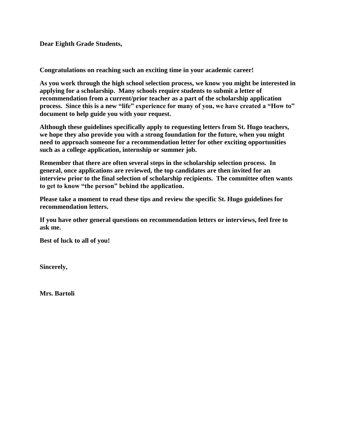**Dear Eighth Grade Students,**

**Congratulations on reaching such an exciting time in your academic career!**

**As you work through the high school selection process, we know you might be interested in applying for a scholarship. Many schools require students to submit a letter of recommendation from a current/prior teacher as a part of the scholarship application process. Since this is a new "life" experience for many of you, we have created a "How to" document to help guide you with your request.** 

**Although these guidelines specifically apply to requesting letters from St. Hugo teachers, we hope they also provide you with a strong foundation for the future, when you might need to approach someone for a recommendation letter for other exciting opportunities such as a college application, internship or summer job.**

**Remember that there are often several steps in the scholarship selection process. In general, once applications are reviewed, the top candidates are then invited for an interview prior to the final selection of scholarship recipients. The committee often wants to get to know "the person" behind the application.**

**Please take a moment to read these tips and review the specific St. Hugo guidelines for recommendation letters.**

**If you have other general questions on recommendation letters or interviews, feel free to ask me.**

**Best of luck to all of you!**

**Sincerely,** 

**Mrs. Bartoli**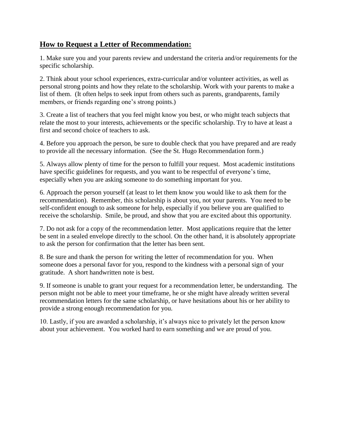## **How to Request a Letter of Recommendation:**

1. Make sure you and your parents review and understand the criteria and/or requirements for the specific scholarship.

2. Think about your school experiences, extra-curricular and/or volunteer activities, as well as personal strong points and how they relate to the scholarship. Work with your parents to make a list of them. (It often helps to seek input from others such as parents, grandparents, family members, or friends regarding one's strong points.)

3. Create a list of teachers that you feel might know you best, or who might teach subjects that relate the most to your interests, achievements or the specific scholarship. Try to have at least a first and second choice of teachers to ask.

4. Before you approach the person, be sure to double check that you have prepared and are ready to provide all the necessary information. (See the St. Hugo Recommendation form.)

5. Always allow plenty of time for the person to fulfill your request. Most academic institutions have specific guidelines for requests, and you want to be respectful of everyone's time, especially when you are asking someone to do something important for you.

6. Approach the person yourself (at least to let them know you would like to ask them for the recommendation). Remember, this scholarship is about you, not your parents. You need to be self-confident enough to ask someone for help, especially if you believe you are qualified to receive the scholarship. Smile, be proud, and show that you are excited about this opportunity.

7. Do not ask for a copy of the recommendation letter. Most applications require that the letter be sent in a sealed envelope directly to the school. On the other hand, it is absolutely appropriate to ask the person for confirmation that the letter has been sent.

8. Be sure and thank the person for writing the letter of recommendation for you. When someone does a personal favor for you, respond to the kindness with a personal sign of your gratitude. A short handwritten note is best.

9. If someone is unable to grant your request for a recommendation letter, be understanding. The person might not be able to meet your timeframe, he or she might have already written several recommendation letters for the same scholarship, or have hesitations about his or her ability to provide a strong enough recommendation for you.

10. Lastly, if you are awarded a scholarship, it's always nice to privately let the person know about your achievement. You worked hard to earn something and we are proud of you.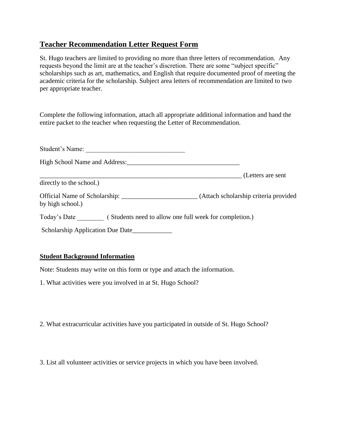## **Teacher Recommendation Letter Request Form**

St. Hugo teachers are limited to providing no more than three letters of recommendation. Any requests beyond the limit are at the teacher's discretion. There are some "subject specific" scholarships such as art, mathematics, and English that require documented proof of meeting the academic criteria for the scholarship. Subject area letters of recommendation are limited to two per appropriate teacher.

Complete the following information, attach all appropriate additional information and hand the entire packet to the teacher when requesting the Letter of Recommendation.

| Student's Name:                  |                                        |
|----------------------------------|----------------------------------------|
|                                  |                                        |
|                                  | (Letters are sent                      |
| directly to the school.)         |                                        |
| by high school.)                 | (Attach scholarship criteria provided) |
|                                  |                                        |
| Scholarship Application Due Date |                                        |

## **Student Background Information**

Note: Students may write on this form or type and attach the information.

1. What activities were you involved in at St. Hugo School?

2. What extracurricular activities have you participated in outside of St. Hugo School?

3. List all volunteer activities or service projects in which you have been involved.